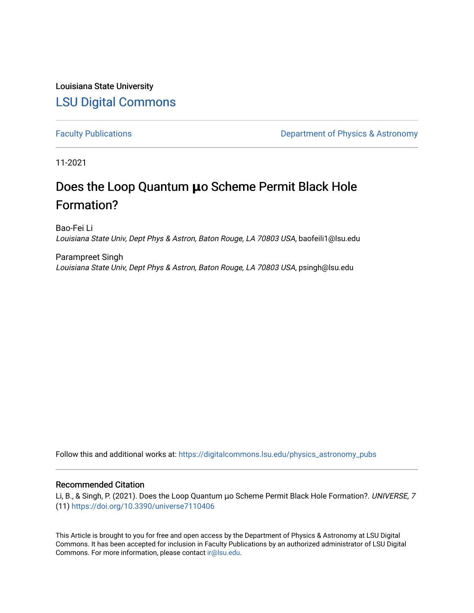Louisiana State University [LSU Digital Commons](https://digitalcommons.lsu.edu/)

[Faculty Publications](https://digitalcommons.lsu.edu/physics_astronomy_pubs) **Exercise 2 and Table 2 and Table 2 and Table 2 and Table 2 and Table 2 and Table 2 and Table 2 and Table 2 and Table 2 and Table 2 and Table 2 and Table 2 and Table 2 and Table 2 and Table 2 and Table** 

11-2021

# Does the Loop Quantum **μ**o Scheme Permit Black Hole Formation?

Bao-Fei Li Louisiana State Univ, Dept Phys & Astron, Baton Rouge, LA 70803 USA, baofeili1@lsu.edu

Parampreet Singh Louisiana State Univ, Dept Phys & Astron, Baton Rouge, LA 70803 USA, psingh@lsu.edu

Follow this and additional works at: [https://digitalcommons.lsu.edu/physics\\_astronomy\\_pubs](https://digitalcommons.lsu.edu/physics_astronomy_pubs?utm_source=digitalcommons.lsu.edu%2Fphysics_astronomy_pubs%2F4630&utm_medium=PDF&utm_campaign=PDFCoverPages) 

### Recommended Citation

Li, B., & Singh, P. (2021). Does the Loop Quantum μo Scheme Permit Black Hole Formation?. UNIVERSE, 7 (11) <https://doi.org/10.3390/universe7110406>

This Article is brought to you for free and open access by the Department of Physics & Astronomy at LSU Digital Commons. It has been accepted for inclusion in Faculty Publications by an authorized administrator of LSU Digital Commons. For more information, please contact [ir@lsu.edu](mailto:ir@lsu.edu).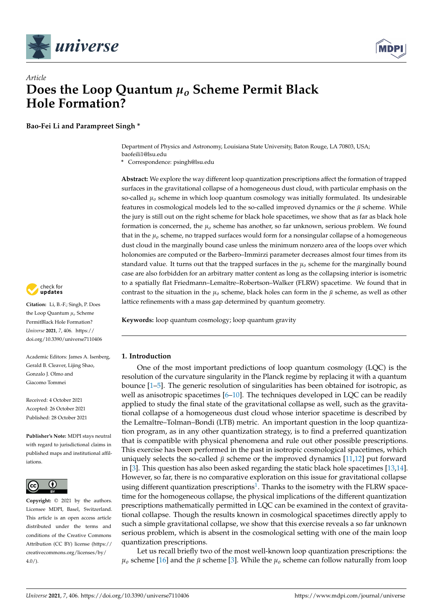



## *Article* **Does the Loop Quantum** *µ<sup>o</sup>* **Scheme Permit Black Hole Formation?**

**Bao-Fei Li and Parampreet Singh \***

Department of Physics and Astronomy, Louisiana State University, Baton Rouge, LA 70803, USA; baofeili1@lsu.edu

**\*** Correspondence: psingh@lsu.edu

**Abstract:** We explore the way different loop quantization prescriptions affect the formation of trapped surfaces in the gravitational collapse of a homogeneous dust cloud, with particular emphasis on the so-called  $\mu_0$  scheme in which loop quantum cosmology was initially formulated. Its undesirable features in cosmological models led to the so-called improved dynamics or the  $\bar{\mu}$  scheme. While the jury is still out on the right scheme for black hole spacetimes, we show that as far as black hole formation is concerned, the *µo* scheme has another, so far unknown, serious problem. We found that in the  $\mu_0$  scheme, no trapped surfaces would form for a nonsingular collapse of a homogeneous dust cloud in the marginally bound case unless the minimum nonzero area of the loops over which holonomies are computed or the Barbero–Immirzi parameter decreases almost four times from its standard value. It turns out that the trapped surfaces in the *µo* scheme for the marginally bound case are also forbidden for an arbitrary matter content as long as the collapsing interior is isometric to a spatially flat Friedmann–Lemaître–Robertson–Walker (FLRW) spacetime. We found that in contrast to the situation in the  $\mu_0$  scheme, black holes can form in the  $\bar{\mu}$  scheme, as well as other lattice refinements with a mass gap determined by quantum geometry.

**Keywords:** loop quantum cosmology; loop quantum gravity

#### **1. Introduction**

One of the most important predictions of loop quantum cosmology (LQC) is the resolution of the curvature singularity in the Planck regime by replacing it with a quantum bounce [\[1](#page-11-0)[–5\]](#page-11-1). The generic resolution of singularities has been obtained for isotropic, as well as anisotropic spacetimes [\[6–](#page-11-2)[10\]](#page-11-3). The techniques developed in LQC can be readily applied to study the final state of the gravitational collapse as well, such as the gravitational collapse of a homogeneous dust cloud whose interior spacetime is described by the Lemaître–Tolman–Bondi (LTB) metric. An important question in the loop quantization program, as in any other quantization strategy, is to find a preferred quantization that is compatible with physical phenomena and rule out other possible prescriptions. This exercise has been performed in the past in isotropic cosmological spacetimes, which uniquely selects the so-called  $\bar{\mu}$  scheme or the improved dynamics [\[11](#page-11-4)[,12\]](#page-11-5) put forward in [\[3\]](#page-11-6). This question has also been asked regarding the static black hole spacetimes [\[13](#page-11-7)[,14\]](#page-11-8). However, so far, there is no comparative exploration on this issue for gravitational collapse using different quantization prescriptions<sup>[1](#page-10-0)</sup>. Thanks to the isometry with the FLRW spacetime for the homogeneous collapse, the physical implications of the different quantization prescriptions mathematically permitted in LQC can be examined in the context of gravitational collapse. Though the results known in cosmological spacetimes directly apply to such a simple gravitational collapse, we show that this exercise reveals a so far unknown serious problem, which is absent in the cosmological setting with one of the main loop quantization prescriptions.

<span id="page-1-0"></span>Let us recall briefly two of the most well-known loop quantization prescriptions: the  $\mu_0$  scheme [\[16\]](#page-11-9) and the  $\bar{\mu}$  scheme [\[3\]](#page-11-6). While the  $\mu_0$  scheme can follow naturally from loop



**Citation:** Li, B.-F.; Singh, P. Does the Loop Quantum *µ<sup>o</sup>* Scheme PermitBlack Hole Formation? *Universe* **2021**, *7*, 406. [https://](https://doi.org/10.3390/universe7110406) [doi.org/10.3390/universe7110406](https://doi.org/10.3390/universe7110406)

Academic Editors: James A. Isenberg, Gerald B. Cleaver, Lijing Shao, Gonzalo J. Olmo and Giacomo Tommei

Received: 4 October 2021 Accepted: 26 October 2021 Published: 28 October 2021

**Publisher's Note:** MDPI stays neutral with regard to jurisdictional claims in published maps and institutional affiliations.



**Copyright:** © 2021 by the authors. Licensee MDPI, Basel, Switzerland. This article is an open access article distributed under the terms and conditions of the Creative Commons Attribution (CC BY) license (https:/[/](https://creativecommons.org/licenses/by/4.0/) [creativecommons.org/licenses/by/](https://creativecommons.org/licenses/by/4.0/)  $4.0/$ ).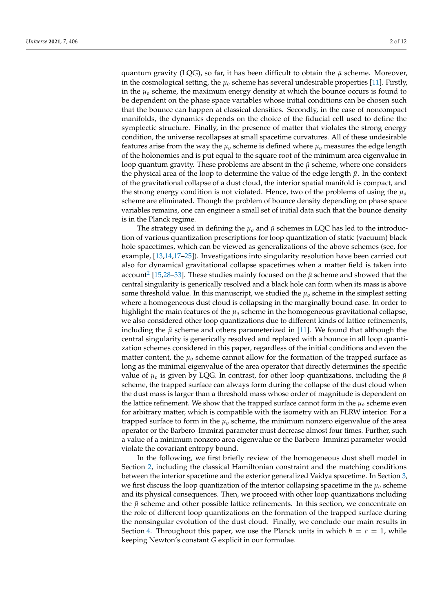quantum gravity (LQG), so far, it has been difficult to obtain the  $\bar{\mu}$  scheme. Moreover, in the cosmological setting, the  $\mu_0$  scheme has several undesirable properties [\[11\]](#page-11-4). Firstly, in the  $\mu_0$  scheme, the maximum energy density at which the bounce occurs is found to be dependent on the phase space variables whose initial conditions can be chosen such that the bounce can happen at classical densities. Secondly, in the case of noncompact manifolds, the dynamics depends on the choice of the fiducial cell used to define the symplectic structure. Finally, in the presence of matter that violates the strong energy condition, the universe recollapses at small spacetime curvatures. All of these undesirable features arise from the way the  $\mu_0$  scheme is defined where  $\mu_0$  measures the edge length of the holonomies and is put equal to the square root of the minimum area eigenvalue in loop quantum gravity. These problems are absent in the  $\bar{\mu}$  scheme, where one considers the physical area of the loop to determine the value of the edge length  $\bar{\mu}$ . In the context of the gravitational collapse of a dust cloud, the interior spatial manifold is compact, and the strong energy condition is not violated. Hence, two of the problems of using the  $\mu_0$ scheme are eliminated. Though the problem of bounce density depending on phase space variables remains, one can engineer a small set of initial data such that the bounce density is in the Planck regime.

<span id="page-2-0"></span>The strategy used in defining the  $\mu_0$  and  $\bar{\mu}$  schemes in LQC has led to the introduction of various quantization prescriptions for loop quantization of static (vacuum) black hole spacetimes, which can be viewed as generalizations of the above schemes (see, for example, [\[13](#page-11-7)[,14](#page-11-8)[,17–](#page-11-10)[25\]](#page-11-11)). Investigations into singularity resolution have been carried out also for dynamical gravitational collapse spacetimes when a matter field is taken into account<sup>[2](#page-10-1)</sup> [\[15,](#page-11-12)[28–](#page-11-13)[33\]](#page-11-14). These studies mainly focused on the  $\bar{\mu}$  scheme and showed that the central singularity is generically resolved and a black hole can form when its mass is above some threshold value. In this manuscript, we studied the  $\mu_0$  scheme in the simplest setting where a homogeneous dust cloud is collapsing in the marginally bound case. In order to highlight the main features of the *µ<sup>o</sup>* scheme in the homogeneous gravitational collapse, we also considered other loop quantizations due to different kinds of lattice refinements, including the  $\bar{\mu}$  scheme and others parameterized in [\[11\]](#page-11-4). We found that although the central singularity is generically resolved and replaced with a bounce in all loop quantization schemes considered in this paper, regardless of the initial conditions and even the matter content, the  $\mu_0$  scheme cannot allow for the formation of the trapped surface as long as the minimal eigenvalue of the area operator that directly determines the specific value of  $\mu_0$  is given by LQG. In contrast, for other loop quantizations, including the  $\bar{\mu}$ scheme, the trapped surface can always form during the collapse of the dust cloud when the dust mass is larger than a threshold mass whose order of magnitude is dependent on the lattice refinement. We show that the trapped surface cannot form in the  $\mu_0$  scheme even for arbitrary matter, which is compatible with the isometry with an FLRW interior. For a trapped surface to form in the  $\mu_0$  scheme, the minimum nonzero eigenvalue of the area operator or the Barbero–Immirzi parameter must decrease almost four times. Further, such a value of a minimum nonzero area eigenvalue or the Barbero–Immirzi parameter would violate the covariant entropy bound.

In the following, we first briefly review of the homogeneous dust shell model in Section [2,](#page-3-0) including the classical Hamiltonian constraint and the matching conditions between the interior spacetime and the exterior generalized Vaidya spacetime. In Section [3,](#page-4-0) we first discuss the loop quantization of the interior collapsing spacetime in the  $\mu_0$  scheme and its physical consequences. Then, we proceed with other loop quantizations including the  $\bar{\mu}$  scheme and other possible lattice refinements. In this section, we concentrate on the role of different loop quantizations on the formation of the trapped surface during the nonsingular evolution of the dust cloud. Finally, we conclude our main results in Section [4.](#page-9-0) Throughout this paper, we use the Planck units in which  $\hbar = c = 1$ , while keeping Newton's constant *G* explicit in our formulae.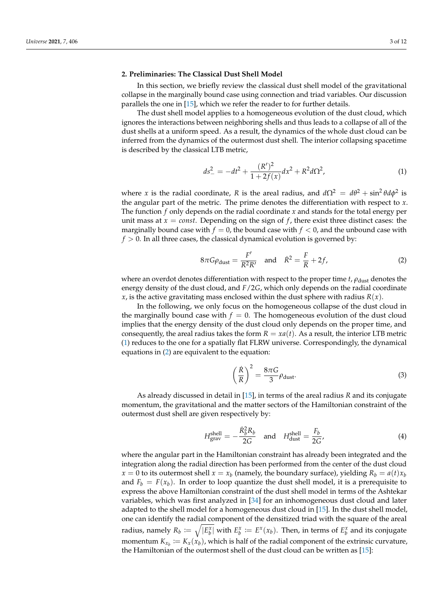#### <span id="page-3-0"></span>**2. Preliminaries: The Classical Dust Shell Model**

In this section, we briefly review the classical dust shell model of the gravitational collapse in the marginally bound case using connection and triad variables. Our discussion parallels the one in [\[15\]](#page-11-12), which we refer the reader to for further details.

The dust shell model applies to a homogeneous evolution of the dust cloud, which ignores the interactions between neighboring shells and thus leads to a collapse of all of the dust shells at a uniform speed. As a result, the dynamics of the whole dust cloud can be inferred from the dynamics of the outermost dust shell. The interior collapsing spacetime is described by the classical LTB metric,

<span id="page-3-1"></span>
$$
ds_{-}^{2} = -dt^{2} + \frac{(R')^{2}}{1 + 2f(x)}dx^{2} + R^{2}d\Omega^{2},
$$
\n(1)

where *x* is the radial coordinate, *R* is the areal radius, and  $d\Omega^2 = d\theta^2 + \sin^2 \theta d\phi^2$  is the angular part of the metric. The prime denotes the differentiation with respect to *x*. The function *f* only depends on the radial coordinate *x* and stands for the total energy per unit mass at  $x = const.$  Depending on the sign of  $f$ , there exist three distinct cases: the marginally bound case with  $f = 0$ , the bound case with  $f < 0$ , and the unbound case with  $f > 0$ . In all three cases, the classical dynamical evolution is governed by:

<span id="page-3-2"></span>
$$
8\pi G\rho_{\rm dust} = \frac{F'}{R^2 R'} \quad \text{and} \quad \dot{R}^2 = \frac{F}{R} + 2f,\tag{2}
$$

where an overdot denotes differentiation with respect to the proper time  $t$ ,  $\rho_{\text{dust}}$  denotes the energy density of the dust cloud, and *F*/2*G*, which only depends on the radial coordinate *x*, is the active gravitating mass enclosed within the dust sphere with radius  $R(x)$ .

In the following, we only focus on the homogeneous collapse of the dust cloud in the marginally bound case with  $f = 0$ . The homogeneous evolution of the dust cloud implies that the energy density of the dust cloud only depends on the proper time, and consequently, the areal radius takes the form  $R = xa(t)$ . As a result, the interior LTB metric [\(1\)](#page-3-1) reduces to the one for a spatially flat FLRW universe. Correspondingly, the dynamical equations in [\(2\)](#page-3-2) are equivalent to the equation:

$$
\left(\frac{\dot{R}}{R}\right)^2 = \frac{8\pi G}{3} \rho_{\text{dust}}.
$$
\n(3)

As already discussed in detail in [\[15\]](#page-11-12), in terms of the areal radius *R* and its conjugate momentum, the gravitational and the matter sectors of the Hamiltonian constraint of the outermost dust shell are given respectively by:

$$
H_{\text{grav}}^{\text{shell}} = -\frac{\dot{R}_b^2 R_b}{2G} \quad \text{and} \quad H_{\text{dust}}^{\text{shell}} = \frac{F_b}{2G'}, \tag{4}
$$

where the angular part in the Hamiltonian constraint has already been integrated and the integration along the radial direction has been performed from the center of the dust cloud  $x = 0$  to its outermost shell  $x = x_b$  (namely, the boundary surface), yielding  $R_b = a(t)x_b$ and  $F_b = F(x_b)$ . In order to loop quantize the dust shell model, it is a prerequisite to express the above Hamiltonian constraint of the dust shell model in terms of the Ashtekar variables, which was first analyzed in [\[34\]](#page-11-15) for an inhomogeneous dust cloud and later adapted to the shell model for a homogeneous dust cloud in [\[15\]](#page-11-12). In the dust shell model, one can identify the radial component of the densitized triad with the square of the areal radius, namely  $R_b := \sqrt{|E_b^{\chi}|}$  with  $E_b^{\chi} := E^{\chi}(x_b)$ . Then, in terms of  $E_b^{\chi}$  and its conjugate momentum  $K_{x_b} := K_x(x_b)$ , which is half of the radial component of the extrinsic curvature, the Hamiltonian of the outermost shell of the dust cloud can be written as [\[15\]](#page-11-12):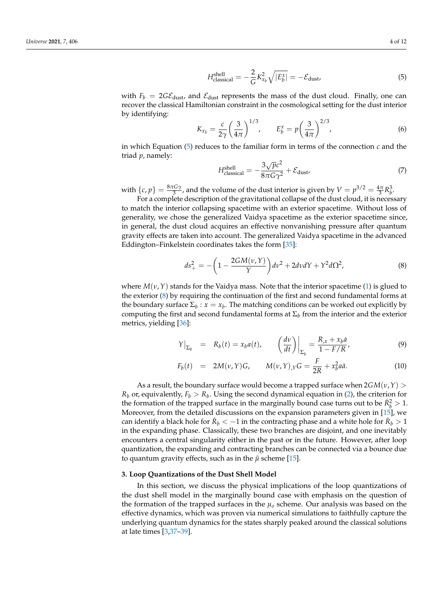<span id="page-4-1"></span>
$$
H_{\text{classical}}^{\text{shell}} = -\frac{2}{G} K_{x_b}^2 \sqrt{|E_b^x|} = -\mathcal{E}_{\text{dust}} \tag{5}
$$

with  $F_b = 2G\mathcal{E}_{\text{dust}}$ , and  $\mathcal{E}_{\text{dust}}$  represents the mass of the dust cloud. Finally, one can recover the classical Hamiltonian constraint in the cosmological setting for the dust interior by identifying:

$$
K_{x_b} = \frac{c}{2\gamma} \left(\frac{3}{4\pi}\right)^{1/3}, \qquad E_b^x = p \left(\frac{3}{4\pi}\right)^{2/3}, \tag{6}
$$

in which Equation  $(5)$  reduces to the familiar form in terms of the connection *c* and the triad *p*, namely:

<span id="page-4-3"></span>
$$
H_{\text{classical}}^{\text{shell}} = -\frac{3\sqrt{p}c^2}{8\pi G\gamma^2} + \mathcal{E}_{\text{dust}} \tag{7}
$$

with  $\{c, p\} = \frac{8\pi G\gamma}{3}$ , and the volume of the dust interior is given by  $V = p^{3/2} = \frac{4\pi}{3}R_b^3$ . For a complete description of the gravitational collapse of the dust cloud, it is necessary

to match the interior collapsing spacetime with an exterior spacetime. Without loss of generality, we chose the generalized Vaidya spacetime as the exterior spacetime since, in general, the dust cloud acquires an effective nonvanishing pressure after quantum gravity effects are taken into account. The generalized Vaidya spacetime in the advanced Eddington–Finkelstein coordinates takes the form [\[35\]](#page-11-16):

<span id="page-4-2"></span>
$$
ds_{+}^{2} = -\left(1 - \frac{2GM(\nu, Y)}{Y}\right)dv^{2} + 2dv dY + Y^{2} d\Omega^{2},
$$
\n(8)

where  $M(\nu, Y)$  stands for the Vaidya mass. Note that the interior spacetime [\(1\)](#page-3-1) is glued to the exterior [\(8\)](#page-4-2) by requiring the continuation of the first and second fundamental forms at the boundary surface  $\Sigma_b$ :  $x = x_b$ . The matching conditions can be worked out explicitly by computing the first and second fundamental forms at  $\Sigma_b$  from the interior and the exterior metrics, yielding [\[36\]](#page-11-17):

$$
Y\big|_{\Sigma_b} = R_b(t) = x_b a(t), \qquad \left(\frac{d\nu}{dt}\right)\big|_{\Sigma_b} = \frac{R_{,x} + x_b a}{1 - F/R'}, \tag{9}
$$

$$
F_b(t) = 2M(\nu, Y)G, \qquad M(\nu, Y)_{,Y}G = \frac{F}{2R} + x_b^2 a\ddot{a}.
$$
 (10)

As a result, the boundary surface would become a trapped surface when 2*GM*(*ν*,*Y*) >  $R_b$  or, equivalently,  $F_b > R_b$ . Using the second dynamical equation in [\(2\)](#page-3-2), the criterion for the formation of the trapped surface in the marginally bound case turns out to be  $\dot{R}_b^2 > 1$ . Moreover, from the detailed discussions on the expansion parameters given in [\[15\]](#page-11-12), we can identify a black hole for  $\dot{R}_b < -1$  in the contracting phase and a white hole for  $\dot{R}_b > 1$ in the expanding phase. Classically, these two branches are disjoint, and one inevitably encounters a central singularity either in the past or in the future. However, after loop quantization, the expanding and contracting branches can be connected via a bounce due to quantum gravity effects, such as in the  $\bar{\mu}$  scheme [\[15\]](#page-11-12).

#### <span id="page-4-0"></span>**3. Loop Quantizations of the Dust Shell Model**

In this section, we discuss the physical implications of the loop quantizations of the dust shell model in the marginally bound case with emphasis on the question of the formation of the trapped surfaces in the  $\mu_0$  scheme. Our analysis was based on the effective dynamics, which was proven via numerical simulations to faithfully capture the underlying quantum dynamics for the states sharply peaked around the classical solutions at late times [\[3,](#page-11-6)[37–](#page-11-18)[39\]](#page-12-0).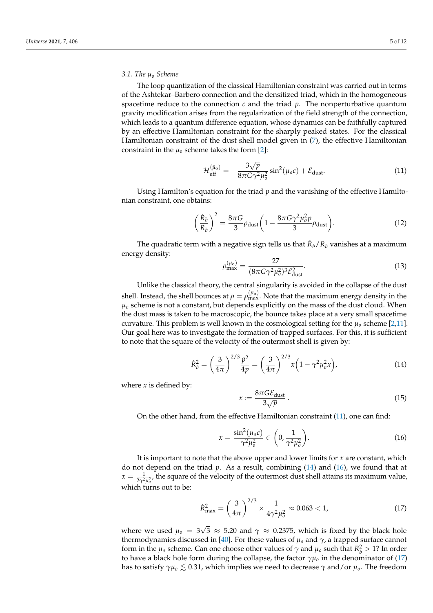#### *3.1. The µ<sup>o</sup> Scheme*

The loop quantization of the classical Hamiltonian constraint was carried out in terms of the Ashtekar–Barbero connection and the densitized triad, which in the homogeneous spacetime reduce to the connection  $c$  and the triad  $p$ . The nonperturbative quantum gravity modification arises from the regularization of the field strength of the connection, which leads to a quantum difference equation, whose dynamics can be faithfully captured by an effective Hamiltonian constraint for the sharply peaked states. For the classical Hamiltonian constraint of the dust shell model given in [\(7\)](#page-4-3), the effective Hamiltonian constraint in the  $\mu_0$  scheme takes the form [\[2\]](#page-11-19):

<span id="page-5-0"></span>
$$
\mathcal{H}_{\text{eff}}^{(\bar{\mu}_0)} = -\frac{3\sqrt{p}}{8\pi G\gamma^2\mu_0^2} \sin^2(\mu_0 c) + \mathcal{E}_{\text{dust}}.
$$
\n(11)

Using Hamilton's equation for the triad *p* and the vanishing of the effective Hamiltonian constraint, one obtains:

$$
\left(\frac{\dot{R}_b}{R_b}\right)^2 = \frac{8\pi G}{3}\rho_{\text{dust}}\left(1 - \frac{8\pi G\gamma^2\mu_o^2 p}{3}\rho_{\text{dust}}\right).
$$
\n(12)

The quadratic term with a negative sign tells us that  $\dot{R}_b/R_b$  vanishes at a maximum energy density:

$$
\rho_{\text{max}}^{(\bar{\mu}_0)} = \frac{27}{(8\pi G\gamma^2\mu_0^2)^3 \mathcal{E}_{\text{dust}}^2}.
$$
\n(13)

Unlike the classical theory, the central singularity is avoided in the collapse of the dust shell. Instead, the shell bounces at  $\rho=\rho_{\max}^{(\bar\mu_o)}$ . Note that the maximum energy density in the  $\mu_0$  scheme is not a constant, but depends explicitly on the mass of the dust cloud. When the dust mass is taken to be macroscopic, the bounce takes place at a very small spacetime curvature. This problem is well known in the cosmological setting for the  $\mu_0$  scheme [\[2](#page-11-19)[,11\]](#page-11-4). Our goal here was to investigate the formation of trapped surfaces. For this, it is sufficient to note that the square of the velocity of the outermost shell is given by:

<span id="page-5-1"></span>
$$
\dot{R}_b^2 = \left(\frac{3}{4\pi}\right)^{2/3} \frac{\dot{p}^2}{4p} = \left(\frac{3}{4\pi}\right)^{2/3} x \left(1 - \gamma^2 \mu_o^2 x\right),\tag{14}
$$

where  $x$  is defined by:

$$
:= \frac{8\pi G \mathcal{E}_{\text{dust}}}{3\sqrt{p}}\,. \tag{15}
$$

On the other hand, from the effective Hamiltonian constraint [\(11\)](#page-5-0), one can find:

 $\mathbf{x}$ 

<span id="page-5-2"></span>
$$
x = \frac{\sin^2(\mu_o c)}{\gamma^2 \mu_o^2} \in \left(0, \frac{1}{\gamma^2 \mu_o^2}\right).
$$
 (16)

It is important to note that the above upper and lower limits for *x* are constant, which do not depend on the triad *p*. As a result, combining [\(14\)](#page-5-1) and [\(16\)](#page-5-2), we found that at  $x = \frac{1}{2\gamma^2 \mu_0^2}$ , the square of the velocity of the outermost dust shell attains its maximum value, which turns out to be:

<span id="page-5-3"></span>
$$
\dot{R}_{\text{max}}^2 = \left(\frac{3}{4\pi}\right)^{2/3} \times \frac{1}{4\gamma^2 \mu_o^2} \approx 0.063 < 1,\tag{17}
$$

where we used  $\mu_o = 3$ √  $3\,\approx\,5.20$  and  $\gamma\,\approx\,0.2375$ , which is fixed by the black hole thermodynamics discussed in [\[40\]](#page-12-1). For these values of  $\mu_0$  and  $\gamma$ , a trapped surface cannot form in the  $\mu_o$  scheme. Can one choose other values of  $\gamma$  and  $\mu_o$  such that  $\dot{R}_b^2 > 1$ ? In order to have a black hole form during the collapse, the factor  $\gamma\mu_o$  in the denominator of [\(17\)](#page-5-3) has to satisfy  $\gamma\mu_o \lesssim 0.31$ , which implies we need to decrease  $\gamma$  and/or  $\mu_o$ . The freedom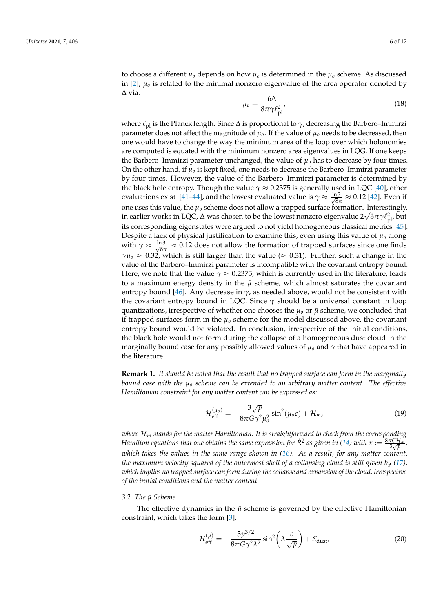to choose a different  $\mu_0$  depends on how  $\mu_0$  is determined in the  $\mu_0$  scheme. As discussed in [\[2\]](#page-11-19),  $\mu_0$  is related to the minimal nonzero eigenvalue of the area operator denoted by ∆ via:

$$
\mu_o = \frac{6\Delta}{8\pi\gamma \ell_{\rm pl}^2},\tag{18}
$$

where  $\ell_{\rm pl}$  is the Planck length. Since  $\Delta$  is proportional to  $\gamma$ , decreasing the Barbero–Immirzi parameter does not affect the magnitude of  $\mu_o$ . If the value of  $\mu_o$  needs to be decreased, then one would have to change the way the minimum area of the loop over which holonomies are computed is equated with the minimum nonzero area eigenvalues in LQG. If one keeps the Barbero–Immirzi parameter unchanged, the value of *µo* has to decrease by four times. On the other hand, if *µo* is kept fixed, one needs to decrease the Barbero–Immirzi parameter by four times. However, the value of the Barbero–Immirzi parameter is determined by the black hole entropy. Though the value  $\gamma \approx 0.2375$  is generally used in LQC [\[40\]](#page-12-1), other evaluations exist [\[41–](#page-12-2)[44\]](#page-12-3), and the lowest evaluated value is  $\gamma \approx \frac{\ln 3}{\sqrt{8}}$  $\frac{13}{8\pi} \approx 0.12$  [\[42\]](#page-12-4). Even if one uses this value, the  $\mu_0$  scheme does not allow a trapped surface formation. Interestingly, in earlier works in LQC,  $\Delta$  was chosen to be the lowest nonzero eigenvalue 2 $\sqrt{3}\pi\gamma\ell_{\rm pl}^2$ , but its corresponding eigenstates were argued to not yield homogeneous classical metrics [\[45\]](#page-12-5). Despite a lack of physical justification to examine this, even using this value of  $\mu_0$  along with  $\gamma \approx \frac{\ln 3}{\sqrt{8}\tau}$  $\frac{13}{8\pi} \approx 0.12$  does not allow the formation of trapped surfaces since one finds  $\gamma\mu_0 \approx 0.32$ , which is still larger than the value ( $\approx 0.31$ ). Further, such a change in the value of the Barbero–Immirzi parameter is incompatible with the covariant entropy bound. Here, we note that the value  $\gamma \approx 0.2375$ , which is currently used in the literature, leads to a maximum energy density in the  $\bar{\mu}$  scheme, which almost saturates the covariant entropy bound [\[46\]](#page-12-6). Any decrease in  $\gamma$ , as needed above, would not be consistent with the covariant entropy bound in LQC. Since *γ* should be a universal constant in loop quantizations, irrespective of whether one chooses the  $\mu_0$  or  $\bar{\mu}$  scheme, we concluded that if trapped surfaces form in the  $\mu_0$  scheme for the model discussed above, the covariant entropy bound would be violated. In conclusion, irrespective of the initial conditions, the black hole would not form during the collapse of a homogeneous dust cloud in the marginally bound case for any possibly allowed values of *µo* and *γ* that have appeared in the literature.

**Remark 1.** *It should be noted that the result that no trapped surface can form in the marginally bound case with the µ<sup>o</sup> scheme can be extended to an arbitrary matter content. The effective Hamiltonian constraint for any matter content can be expressed as:*

$$
\mathcal{H}_{\text{eff}}^{(\bar{\mu}_0)} = -\frac{3\sqrt{p}}{8\pi G\gamma^2\mu_0^2} \sin^2(\mu_0 c) + \mathcal{H}_m,
$$
\n(19)

*where* H*<sup>m</sup> stands for the matter Hamiltonian. It is straightforward to check from the corresponding Hamilton equations that one obtains the same expression for*  $\dot{R}^2$  *as given in [\(14\)](#page-5-1) with*  $x := \frac{8\pi G H_m}{3\sqrt{p}}$ *, which takes the values in the same range shown in [\(16\)](#page-5-2). As a result, for any matter content, the maximum velocity squared of the outermost shell of a collapsing cloud is still given by [\(17\)](#page-5-3), which implies no trapped surface can form during the collapse and expansion of the cloud, irrespective of the initial conditions and the matter content.*

#### *3.2. The µ*¯ *Scheme*

The effective dynamics in the  $\bar{\mu}$  scheme is governed by the effective Hamiltonian constraint, which takes the form [\[3\]](#page-11-6):

$$
\mathcal{H}_{\text{eff}}^{(\bar{\mu})} = -\frac{3p^{3/2}}{8\pi G \gamma^2 \lambda^2} \sin^2\left(\lambda \frac{c}{\sqrt{p}}\right) + \mathcal{E}_{\text{dust}} \tag{20}
$$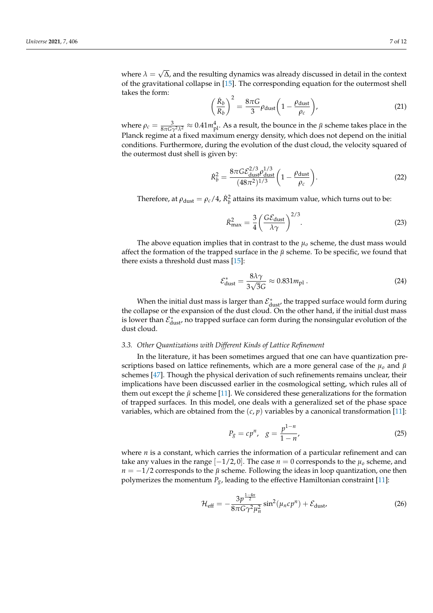<span id="page-7-0"></span>
$$
\left(\frac{\dot{R}_b}{R_b}\right)^2 = \frac{8\pi G}{3} \rho_{\text{dust}} \left(1 - \frac{\rho_{\text{dust}}}{\rho_c}\right),\tag{21}
$$

where  $\rho_c = \frac{3}{8\pi G \gamma^2 \lambda^2} \approx 0.41 m_{\rm pl}^4$ . As a result, the bounce in the  $\bar{\mu}$  scheme takes place in the Planck regime at a fixed maximum energy density, which does not depend on the initial conditions. Furthermore, during the evolution of the dust cloud, the velocity squared of the outermost dust shell is given by:

$$
\dot{R}_b^2 = \frac{8\pi G \mathcal{E}_{\text{dust}}^{2/3} \rho_{\text{dust}}^{1/3}}{(48\pi^2)^{1/3}} \left(1 - \frac{\rho_{\text{dust}}}{\rho_c}\right).
$$
\n(22)

Therefore, at  $\rho_{\rm dust} = \rho_c/4$ ,  $\dot{R}_b^2$  attains its maximum value, which turns out to be:

<span id="page-7-1"></span>
$$
\dot{R}_{\text{max}}^2 = \frac{3}{4} \left( \frac{G \mathcal{E}_{\text{dust}}}{\lambda \gamma} \right)^{2/3}.
$$
 (23)

The above equation implies that in contrast to the  $\mu_0$  scheme, the dust mass would affect the formation of the trapped surface in the  $\bar{\mu}$  scheme. To be specific, we found that there exists a threshold dust mass [\[15\]](#page-11-12):

$$
\mathcal{E}_{\text{dust}}^* = \frac{8\lambda\gamma}{3\sqrt{3}G} \approx 0.831 m_{\text{pl}}\,. \tag{24}
$$

When the initial dust mass is larger than  $\mathcal{E}^*_{\text{dust}}$ , the trapped surface would form during the collapse or the expansion of the dust cloud. On the other hand, if the initial dust mass is lower than  $\mathcal{E}^*_{\text{dust}}$ , no trapped surface can form during the nonsingular evolution of the dust cloud.

#### *3.3. Other Quantizations with Different Kinds of Lattice Refinement*

In the literature, it has been sometimes argued that one can have quantization prescriptions based on lattice refinements, which are a more general case of the  $\mu_o$  and  $\bar{\mu}$ schemes [\[47\]](#page-12-7). Though the physical derivation of such refinements remains unclear, their implications have been discussed earlier in the cosmological setting, which rules all of them out except the  $\bar{\mu}$  scheme [\[11\]](#page-11-4). We considered these generalizations for the formation of trapped surfaces. In this model, one deals with a generalized set of the phase space variables, which are obtained from the  $(c, p)$  variables by a canonical transformation [\[11\]](#page-11-4):

$$
P_g = cp^n, \quad g = \frac{p^{1-n}}{1-n'},
$$
\n(25)

where *n* is a constant, which carries the information of a particular refinement and can take any values in the range  $[-1/2, 0]$ . The case  $n = 0$  corresponds to the  $\mu_0$  scheme, and *n* = −1/2 corresponds to the  $\bar{\mu}$  scheme. Following the ideas in loop quantization, one then polymerizes the momentum  $P_g$ , leading to the effective Hamiltonian constraint [\[11\]](#page-11-4):

$$
\mathcal{H}_{\text{eff}} = -\frac{3p^{\frac{1-4n}{2}}}{8\pi G \gamma^2 \mu_n^2} \sin^2(\mu_n c p^n) + \mathcal{E}_{\text{dust}} \tag{26}
$$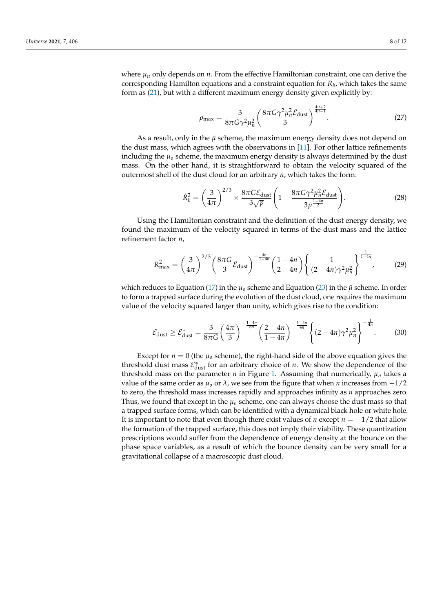where  $\mu_n$  only depends on  $n$ . From the effective Hamiltonian constraint, one can derive the corresponding Hamilton equations and a constraint equation for *R<sup>b</sup>* , which takes the same form as [\(21\)](#page-7-0), but with a different maximum energy density given explicitly by:

$$
\rho_{\text{max}} = \frac{3}{8\pi G \gamma^2 \mu_n^2} \left( \frac{8\pi G \gamma^2 \mu_n^2 \mathcal{E}_{\text{dust}}}{3} \right)^{\frac{4n+2}{4n-1}}.
$$
 (27)

As a result, only in the  $\bar{\mu}$  scheme, the maximum energy density does not depend on the dust mass, which agrees with the observations in [\[11\]](#page-11-4). For other lattice refinements including the  $\mu_0$  scheme, the maximum energy density is always determined by the dust mass. On the other hand, it is straightforward to obtain the velocity squared of the outermost shell of the dust cloud for an arbitrary *n*, which takes the form:

$$
\dot{R}_b^2 = \left(\frac{3}{4\pi}\right)^{2/3} \times \frac{8\pi G \mathcal{E}_{\text{dust}}}{3\sqrt{p}} \left(1 - \frac{8\pi G \gamma^2 \mu_n^2 \mathcal{E}_{\text{dust}}}{3p^{\frac{1-4n}{2}}}\right). \tag{28}
$$

Using the Hamiltonian constraint and the definition of the dust energy density, we found the maximum of the velocity squared in terms of the dust mass and the lattice refinement factor *n*,

$$
\dot{R}_{\text{max}}^2 = \left(\frac{3}{4\pi}\right)^{2/3} \left(\frac{8\pi G}{3} \mathcal{E}_{\text{dust}}\right)^{-\frac{4n}{1-4n}} \left(\frac{1-4n}{2-4n}\right) \left\{\frac{1}{(2-4n)\gamma^2 \mu_n^2}\right\}^{\frac{1}{1-4n}} ,\tag{29}
$$

which reduces to Equation [\(17\)](#page-5-3) in the  $\mu_0$  scheme and Equation [\(23\)](#page-7-1) in the  $\bar{\mu}$  scheme. In order to form a trapped surface during the evolution of the dust cloud, one requires the maximum value of the velocity squared larger than unity, which gives rise to the condition:

$$
\mathcal{E}_{\text{dust}} \ge \mathcal{E}_{\text{dust}}^* = \frac{3}{8\pi G} \left(\frac{4\pi}{3}\right)^{-\frac{1-4n}{6n}} \left(\frac{2-4n}{1-4n}\right)^{-\frac{1-4n}{4n}} \left\{ (2-4n)\gamma^2 \mu_n^2 \right\}^{-\frac{1}{4n}}.
$$
 (30)

Except for  $n = 0$  (the  $\mu_0$  scheme), the right-hand side of the above equation gives the threshold dust mass  $\mathcal{E}^*_{\text{dust}}$  for an arbitrary choice of *n*. We show the dependence of the threshold mass on the parameter *n* in Figure [1.](#page-9-1) Assuming that numerically,  $\mu_n$  takes a value of the same order as  $\mu_0$  or  $\lambda$ , we see from the figure that when *n* increases from  $-1/2$ to zero, the threshold mass increases rapidly and approaches infinity as *n* approaches zero. Thus, we found that except in the  $\mu_0$  scheme, one can always choose the dust mass so that a trapped surface forms, which can be identified with a dynamical black hole or white hole. It is important to note that even though there exist values of *n* except  $n = -1/2$  that allow the formation of the trapped surface, this does not imply their viability. These quantization prescriptions would suffer from the dependence of energy density at the bounce on the phase space variables, as a result of which the bounce density can be very small for a gravitational collapse of a macroscopic dust cloud.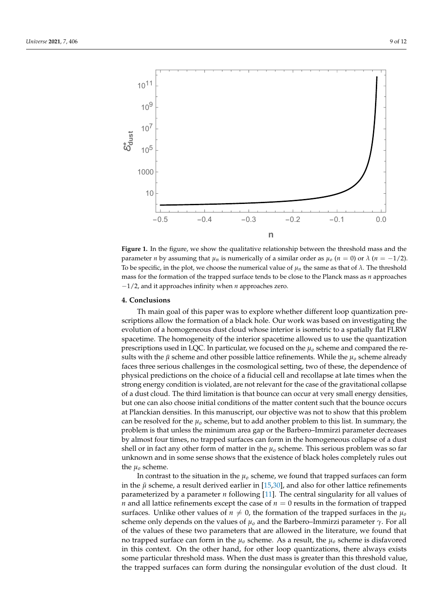<span id="page-9-1"></span>

**Figure 1.** In the figure, we show the qualitative relationship between the threshold mass and the parameter *n* by assuming that  $\mu_n$  is numerically of a similar order as  $\mu_0$  ( $n = 0$ ) or  $\lambda$  ( $n = -1/2$ ). To be specific, in the plot, we choose the numerical value of  $\mu_n$  the same as that of  $\lambda$ . The threshold mass for the formation of the trapped surface tends to be close to the Planck mass as *n* approaches −1/2, and it approaches infinity when *n* approaches zero.

#### <span id="page-9-0"></span>**4. Conclusions**

Th main goal of this paper was to explore whether different loop quantization prescriptions allow the formation of a black hole. Our work was based on investigating the evolution of a homogeneous dust cloud whose interior is isometric to a spatially flat FLRW spacetime. The homogeneity of the interior spacetime allowed us to use the quantization prescriptions used in LQC. In particular, we focused on the *µo* scheme and compared the results with the  $\bar{\mu}$  scheme and other possible lattice refinements. While the  $\mu_0$  scheme already faces three serious challenges in the cosmological setting, two of these, the dependence of physical predictions on the choice of a fiducial cell and recollapse at late times when the strong energy condition is violated, are not relevant for the case of the gravitational collapse of a dust cloud. The third limitation is that bounce can occur at very small energy densities, but one can also choose initial conditions of the matter content such that the bounce occurs at Planckian densities. In this manuscript, our objective was not to show that this problem can be resolved for the  $\mu_0$  scheme, but to add another problem to this list. In summary, the problem is that unless the minimum area gap or the Barbero–Immirzi parameter decreases by almost four times, no trapped surfaces can form in the homogeneous collapse of a dust shell or in fact any other form of matter in the  $\mu_0$  scheme. This serious problem was so far unknown and in some sense shows that the existence of black holes completely rules out the *µo* scheme.

In contrast to the situation in the  $\mu_0$  scheme, we found that trapped surfaces can form in the  $\bar{\mu}$  scheme, a result derived earlier in [\[15](#page-11-12)[,30\]](#page-11-20), and also for other lattice refinements parameterized by a parameter *n* following [\[11\]](#page-11-4). The central singularity for all values of *n* and all lattice refinements except the case of *n* = 0 results in the formation of trapped surfaces. Unlike other values of  $n \neq 0$ , the formation of the trapped surfaces in the  $\mu_0$ scheme only depends on the values of  $\mu_0$  and the Barbero–Immirzi parameter  $\gamma$ . For all of the values of these two parameters that are allowed in the literature, we found that no trapped surface can form in the  $\mu_0$  scheme. As a result, the  $\mu_0$  scheme is disfavored in this context. On the other hand, for other loop quantizations, there always exists some particular threshold mass. When the dust mass is greater than this threshold value, the trapped surfaces can form during the nonsingular evolution of the dust cloud. It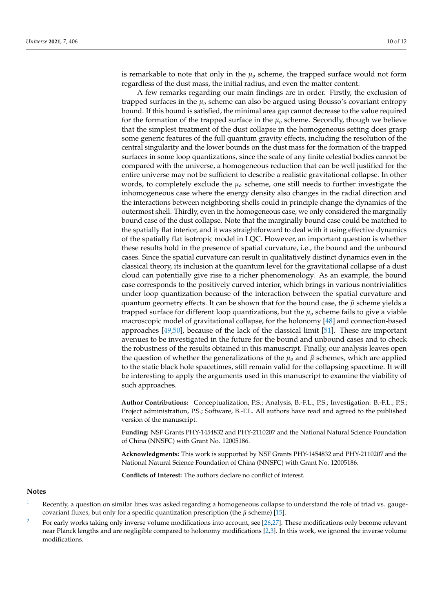is remarkable to note that only in the  $\mu_0$  scheme, the trapped surface would not form regardless of the dust mass, the initial radius, and even the matter content.

A few remarks regarding our main findings are in order. Firstly, the exclusion of trapped surfaces in the  $\mu_0$  scheme can also be argued using Bousso's covariant entropy bound. If this bound is satisfied, the minimal area gap cannot decrease to the value required for the formation of the trapped surface in the  $\mu_0$  scheme. Secondly, though we believe that the simplest treatment of the dust collapse in the homogeneous setting does grasp some generic features of the full quantum gravity effects, including the resolution of the central singularity and the lower bounds on the dust mass for the formation of the trapped surfaces in some loop quantizations, since the scale of any finite celestial bodies cannot be compared with the universe, a homogeneous reduction that can be well justified for the entire universe may not be sufficient to describe a realistic gravitational collapse. In other words, to completely exclude the  $\mu_0$  scheme, one still needs to further investigate the inhomogeneous case where the energy density also changes in the radial direction and the interactions between neighboring shells could in principle change the dynamics of the outermost shell. Thirdly, even in the homogeneous case, we only considered the marginally bound case of the dust collapse. Note that the marginally bound case could be matched to the spatially flat interior, and it was straightforward to deal with it using effective dynamics of the spatially flat isotropic model in LQC. However, an important question is whether these results hold in the presence of spatial curvature, i.e., the bound and the unbound cases. Since the spatial curvature can result in qualitatively distinct dynamics even in the classical theory, its inclusion at the quantum level for the gravitational collapse of a dust cloud can potentially give rise to a richer phenomenology. As an example, the bound case corresponds to the positively curved interior, which brings in various nontrivialities under loop quantization because of the interaction between the spatial curvature and quantum geometry effects. It can be shown that for the bound case, the *µ*¯ scheme yields a trapped surface for different loop quantizations, but the  $\mu_0$  scheme fails to give a viable macroscopic model of gravitational collapse, for the holonomy [\[48\]](#page-12-8) and connection-based approaches [\[49](#page-12-9)[,50\]](#page-12-10), because of the lack of the classical limit [\[51\]](#page-12-11). These are important avenues to be investigated in the future for the bound and unbound cases and to check the robustness of the results obtained in this manuscript. Finally, our analysis leaves open the question of whether the generalizations of the  $\mu_0$  and  $\bar{\mu}$  schemes, which are applied to the static black hole spacetimes, still remain valid for the collapsing spacetime. It will be interesting to apply the arguments used in this manuscript to examine the viability of such approaches.

**Author Contributions:** Conceptualization, P.S.; Analysis, B.-F.L., P.S.; Investigation: B.-F.L., P.S.; Project administration, P.S.; Software, B.-F.L. All authors have read and agreed to the published version of the manuscript.

**Funding:** NSF Grants PHY-1454832 and PHY-2110207 and the National Natural Science Foundation of China (NNSFC) with Grant No. 12005186.

**Acknowledgments:** This work is supported by NSF Grants PHY-1454832 and PHY-2110207 and the National Natural Science Foundation of China (NNSFC) with Grant No. 12005186.

**Conflicts of Interest:** The authors declare no conflict of interest.

#### **Notes**

- <span id="page-10-0"></span>Recently, a question on similar lines was asked regarding a homogeneous collapse to understand the role of triad vs. gaugecovariant fluxes, but only for a specific quantization prescription (the  $\bar{\mu}$  scheme) [\[15\]](#page-11-12).
- <span id="page-10-1"></span>[2](#page-2-0) For early works taking only inverse volume modifications into account, see [\[26,](#page-11-21)[27\]](#page-11-22). These modifications only become relevant near Planck lengths and are negligible compared to holonomy modifications [\[2](#page-11-19)[,3\]](#page-11-6). In this work, we ignored the inverse volume modifications.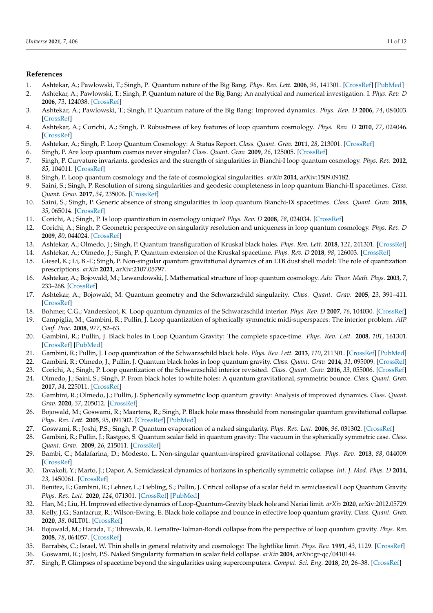#### **References**

- <span id="page-11-0"></span>1. Ashtekar, A.; Pawlowski, T.; Singh, P. Quantum nature of the Big Bang. *Phys. Rev. Lett.* **2006**, *96*, 141301. [\[CrossRef\]](http://doi.org/10.1103/PhysRevLett.96.141301) [\[PubMed\]](http://www.ncbi.nlm.nih.gov/pubmed/16712061)
- <span id="page-11-19"></span>2. Ashtekar, A.; Pawlowski, T.; Singh, P. Quantum nature of the Big Bang: An analytical and numerical investigation. I. *Phys. Rev. D* **2006**, *73*, 124038. [\[CrossRef\]](http://dx.doi.org/10.1103/PhysRevD.73.124038)
- <span id="page-11-6"></span>3. Ashtekar, A.; Pawlowski, T.; Singh, P. Quantum nature of the Big Bang: Improved dynamics. *Phys. Rev. D* **2006**, *74*, 084003. [\[CrossRef\]](http://dx.doi.org/10.1103/PhysRevD.74.084003)
- 4. Ashtekar, A.; Corichi, A.; Singh, P. Robustness of key features of loop quantum cosmology. *Phys. Rev. D* **2010**, *77*, 024046. [\[CrossRef\]](http://dx.doi.org/10.1103/PhysRevD.77.024046)
- <span id="page-11-1"></span>5. Ashtekar, A.; Singh, P. Loop Quantum Cosmology: A Status Report. *Class. Quant. Grav.* **2011**, *28*, 213001. [\[CrossRef\]](http://dx.doi.org/10.1088/0264-9381/28/21/213001)
- <span id="page-11-2"></span>6. Singh, P. Are loop quantum cosmos never singular? *Class. Quant. Grav.* **2009**, *26*, 125005. [\[CrossRef\]](http://dx.doi.org/10.1088/0264-9381/26/12/125005)
- 7. Singh, P. Curvature invariants, geodesics and the strength of singularities in Bianchi-I loop quantum cosmology. *Phys. Rev.* **2012**, *85*, 104011. [\[CrossRef\]](http://dx.doi.org/10.1103/PhysRevD.85.104011)
- 8. Singh, P. Loop quantum cosmology and the fate of cosmological singularities. *arXiv* **2014**, arXiv:1509.09182.
- 9. Saini, S.; Singh, P. Resolution of strong singularities and geodesic completeness in loop quantum Bianchi-II spacetimes. *Class. Quant. Grav.* **2017**, *34*, 235006. [\[CrossRef\]](http://dx.doi.org/10.1088/1361-6382/aa91f6)
- <span id="page-11-3"></span>10. Saini, S.; Singh, P. Generic absence of strong singularities in loop quantum Bianchi-IX spacetimes. *Class. Quant. Grav.* **2018**, *35*, 065014. [\[CrossRef\]](http://dx.doi.org/10.1088/1361-6382/aaad79)
- <span id="page-11-4"></span>11. Corichi, A.; Singh, P. Is loop quantization in cosmology unique? *Phys. Rev. D* **2008**, *78*, 024034. [\[CrossRef\]](http://dx.doi.org/10.1103/PhysRevD.78.024034)
- <span id="page-11-5"></span>12. Corichi, A.; Singh, P. Geometric perspective on singularity resolution and uniqueness in loop quantum cosmology. *Phys. Rev. D* **2009**, *80*, 044024. [\[CrossRef\]](http://dx.doi.org/10.1103/PhysRevD.80.044024)
- <span id="page-11-7"></span>13. Ashtekar, A.; Olmedo, J.; Singh, P. Quantum transfiguration of Kruskal black holes. *Phys. Rev. Lett.* **2018**, *121*, 241301. [\[CrossRef\]](http://dx.doi.org/10.1103/PhysRevLett.121.241301)
- <span id="page-11-8"></span>14. Ashtekar, A.; Olmedo, J.; Singh, P. Quantum extension of the Kruskal spacetime. *Phys. Rev. D* **2018**, *98*, 126003. [\[CrossRef\]](http://dx.doi.org/10.1103/PhysRevD.98.126003)
- <span id="page-11-12"></span>15. Giesel, K.; Li, B.-F.; Singh, P. Non-singular quantum gravitational dynamics of an LTB dust shell model: The role of quantization prescriptions. *arXiv* **2021**, arXiv:2107.05797.
- <span id="page-11-9"></span>16. Ashtekar, A.; Bojowald, M.; Lewandowski, J. Mathematical structure of loop quantum cosmology. *Adv. Theor. Math. Phys.* **2003**, *7*, 233–268. [\[CrossRef\]](http://dx.doi.org/10.4310/ATMP.2003.v7.n2.a2)
- <span id="page-11-10"></span>17. Ashtekar, A.; Bojowald, M. Quantum geometry and the Schwarzschild singularity. *Class. Quant. Grav.* **2005**, *23*, 391–411. [\[CrossRef\]](http://dx.doi.org/10.1088/0264-9381/23/2/008)
- 18. Bohmer, C.G.; Vandersloot, K. Loop quantum dynamics of the Schwarzschild interior. *Phys. Rev. D* **2007**, *76*, 104030. [\[CrossRef\]](http://dx.doi.org/10.1103/PhysRevD.76.104030)
- 19. Campiglia, M.; Gambini, R.; Pullin, J. Loop quantization of spherically symmetric midi-superspaces: The interior problem. *AIP Conf. Proc.* **2008**, *977*, 52–63.
- 20. Gambini, R.; Pullin, J. Black holes in Loop Quantum Gravity: The complete space-time. *Phys. Rev. Lett.* **2008**, *101*, 161301. [\[CrossRef\]](http://dx.doi.org/10.1103/PhysRevLett.101.161301) [\[PubMed\]](http://www.ncbi.nlm.nih.gov/pubmed/18999656)
- 21. Gambini, R.; Pullin, J. Loop quantization of the Schwarzschild black hole. *Phys. Rev. Lett.* **2013**, *110*, 211301. [\[CrossRef\]](http://dx.doi.org/10.1103/PhysRevLett.110.211301) [\[PubMed\]](http://www.ncbi.nlm.nih.gov/pubmed/23745855)
- 22. Gambini, R.; Olmedo, J.; Pullin, J. Quantum black holes in loop quantum gravity. *Class. Quant. Grav.* **2014**, *31*, 095009. [\[CrossRef\]](http://dx.doi.org/10.1088/0264-9381/31/9/095009)
- 23. Corichi, A.; Singh, P. Loop quantization of the Schwarzschild interior revisited. *Class. Quant. Grav.* **2016**, *33*, 055006. [\[CrossRef\]](http://dx.doi.org/10.1088/0264-9381/33/5/055006)
- 24. Olmedo, J.; Saini, S.; Singh, P. From black holes to white holes: A quantum gravitational, symmetric bounce. *Class. Quant. Grav.* **2017**, *34*, 225011. [\[CrossRef\]](http://dx.doi.org/10.1088/1361-6382/aa8da8)
- <span id="page-11-11"></span>25. Gambini, R.; Olmedo, J.; Pullin, J. Spherically symmetric loop quantum gravity: Analysis of improved dynamics. *Class. Quant. Grav.* **2020**, *37*, 205012. [\[CrossRef\]](http://dx.doi.org/10.1088/1361-6382/aba842)
- <span id="page-11-21"></span>26. Bojowald, M.; Goswami, R.; Maartens, R.; Singh, P. Black hole mass threshold from nonsingular quantum gravitational collapse. *Phys. Rev. Lett.* **2005**, *95*, 091302. [\[CrossRef\]](http://dx.doi.org/10.1103/PhysRevLett.95.091302) [\[PubMed\]](http://www.ncbi.nlm.nih.gov/pubmed/16197204)
- <span id="page-11-22"></span>27. Goswami, R.; Joshi, P.S.; Singh, P. Quantum evaporation of a naked singularity. *Phys. Rev. Lett.* **2006**, *96*, 031302. [\[CrossRef\]](http://dx.doi.org/10.1103/PhysRevLett.96.031302)
- <span id="page-11-13"></span>28. Gambini, R.; Pullin, J.; Rastgoo, S. Quantum scalar field in quantum gravity: The vacuum in the spherically symmetric case. *Class. Quant. Grav.* **2009**, *26*, 215011. [\[CrossRef\]](http://dx.doi.org/10.1088/0264-9381/26/21/215011)
- 29. Bambi, C.; Malafarina, D.; Modesto, L. Non-singular quantum-inspired gravitational collapse. *Phys. Rev.* **2013**, *88*, 044009. [\[CrossRef\]](http://dx.doi.org/10.1103/PhysRevD.88.044009)
- <span id="page-11-20"></span>30. Tavakoli, Y.; Marto, J.; Dapor, A. Semiclassical dynamics of horizons in spherically symmetric collapse. *Int. J. Mod. Phys. D* **2014**, *23*, 1450061. [\[CrossRef\]](http://dx.doi.org/10.1142/S0218271814500618)
- 31. Benitez, F.; Gambini, R.; Lehner, L.; Liebling, S.; Pullin, J. Critical collapse of a scalar field in semiclassical Loop Quantum Gravity. *Phys. Rev. Lett.* **2020**, *124*, 071301. [\[CrossRef\]](http://dx.doi.org/10.1103/PhysRevLett.124.071301) [\[PubMed\]](http://www.ncbi.nlm.nih.gov/pubmed/32142344)
- 32. Han, M.; Liu, H. Improved effective dynamics of Loop-Quantum-Gravity black hole and Nariai limit. *arXiv* **2020**, arXiv:2012.05729.
- <span id="page-11-14"></span>33. Kelly, J.G.; Santacruz, R.; Wilson-Ewing, E. Black hole collapse and bounce in effective loop quantum gravity. *Class. Quant. Grav.* **2020**, *38*, 04LT01. [\[CrossRef\]](http://dx.doi.org/10.1088/1361-6382/abd3e2)
- <span id="page-11-15"></span>34. Bojowald, M.; Harada, T.; Tibrewala, R. Lemaître-Tolman-Bondi collapse from the perspective of loop quantum gravity. *Phys. Rev.* **2008**, *78*, 064057. [\[CrossRef\]](http://dx.doi.org/10.1103/PhysRevD.78.064057)
- <span id="page-11-16"></span>35. Barrabès, C.; Israel, W. Thin shells in general relativity and cosmology: The lightlike limit. *Phys. Rev.* **1991**, *43*, 1129. [\[CrossRef\]](http://dx.doi.org/10.1103/PhysRevD.43.1129)
- <span id="page-11-17"></span>36. Goswami, R.; Joshi, P.S. Naked Singularity formation in scalar field collapse. *arXiv* **2004**, arXiv:gr-qc/0410144.
- <span id="page-11-18"></span>37. Singh, P. Glimpses of spacetime beyond the singularities using supercomputers. *Comput. Sci. Eng.* **2018**, *20*, 26–38. [\[CrossRef\]](http://dx.doi.org/10.1109/MCSE.2018.042781324)